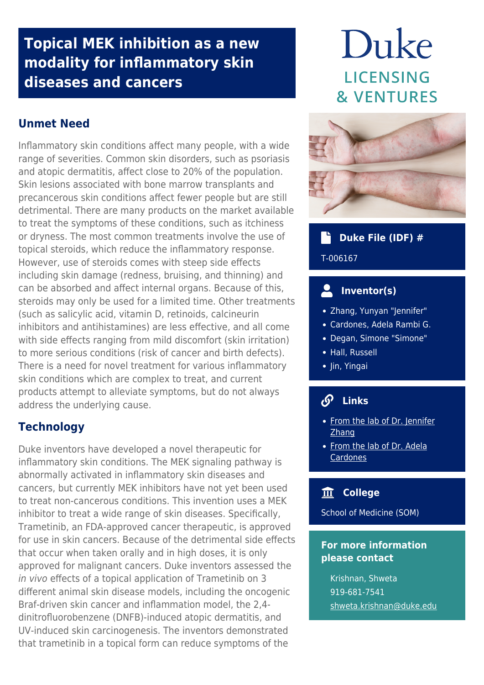# **Topical MEK inhibition as a new modality for inflammatory skin diseases and cancers**

### **Unmet Need**

Inflammatory skin conditions affect many people, with a wide range of severities. Common skin disorders, such as psoriasis and atopic dermatitis, affect close to 20% of the population. Skin lesions associated with bone marrow transplants and precancerous skin conditions affect fewer people but are still detrimental. There are many products on the market available to treat the symptoms of these conditions, such as itchiness or dryness. The most common treatments involve the use of topical steroids, which reduce the inflammatory response. However, use of steroids comes with steep side effects including skin damage (redness, bruising, and thinning) and can be absorbed and affect internal organs. Because of this, steroids may only be used for a limited time. Other treatments (such as salicylic acid, vitamin D, retinoids, calcineurin inhibitors and antihistamines) are less effective, and all come with side effects ranging from mild discomfort (skin irritation) to more serious conditions (risk of cancer and birth defects). There is a need for novel treatment for various inflammatory skin conditions which are complex to treat, and current products attempt to alleviate symptoms, but do not always address the underlying cause.

#### **Technology**

Duke inventors have developed a novel therapeutic for inflammatory skin conditions. The MEK signaling pathway is abnormally activated in inflammatory skin diseases and cancers, but currently MEK inhibitors have not yet been used to treat non-cancerous conditions. This invention uses a MEK inhibitor to treat a wide range of skin diseases. Specifically, Trametinib, an FDA-approved cancer therapeutic, is approved for use in skin cancers. Because of the detrimental side effects that occur when taken orally and in high doses, it is only approved for malignant cancers. Duke inventors assessed the in vivo effects of a topical application of Trametinib on 3 different animal skin disease models, including the oncogenic Braf-driven skin cancer and inflammation model, the 2,4 dinitrofluorobenzene (DNFB)-induced atopic dermatitis, and UV-induced skin carcinogenesis. The inventors demonstrated that trametinib in a topical form can reduce symptoms of the

# Duke **LICENSING & VENTURES**



## **b** Duke File (IDF) #

T-006167

#### **Inventor(s)**

- Zhang, Yunyan "Jennifer"
- Cardones, Adela Rambi G.
- Degan, Simone "Simone"
- Hall, Russell
- Jin, Yingai

#### **Links**

- [From the lab of Dr. Jennifer](https://scholars.duke.edu/person/jennifer.zhang) [Zhang](https://scholars.duke.edu/person/jennifer.zhang)
- [From the lab of Dr. Adela](https://scholars.duke.edu/person/adela.cardones) **[Cardones](https://scholars.duke.edu/person/adela.cardones)**

#### **College**

School of Medicine (SOM)

#### **For more information please contact**

Krishnan, Shweta 919-681-7541 [shweta.krishnan@duke.edu](mailto:shweta.krishnan@duke.edu)